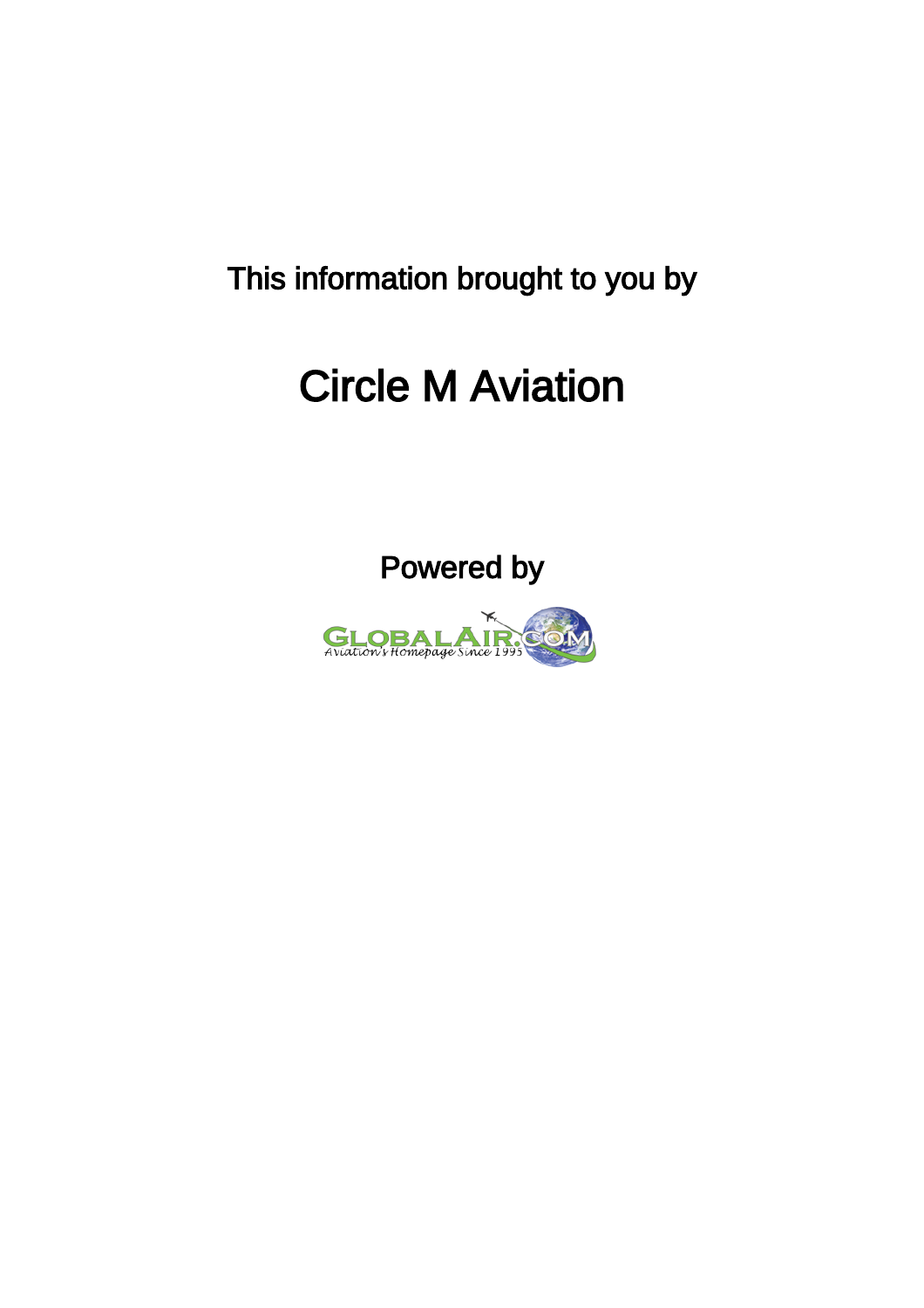This information brought to you by

## Circle M Aviation



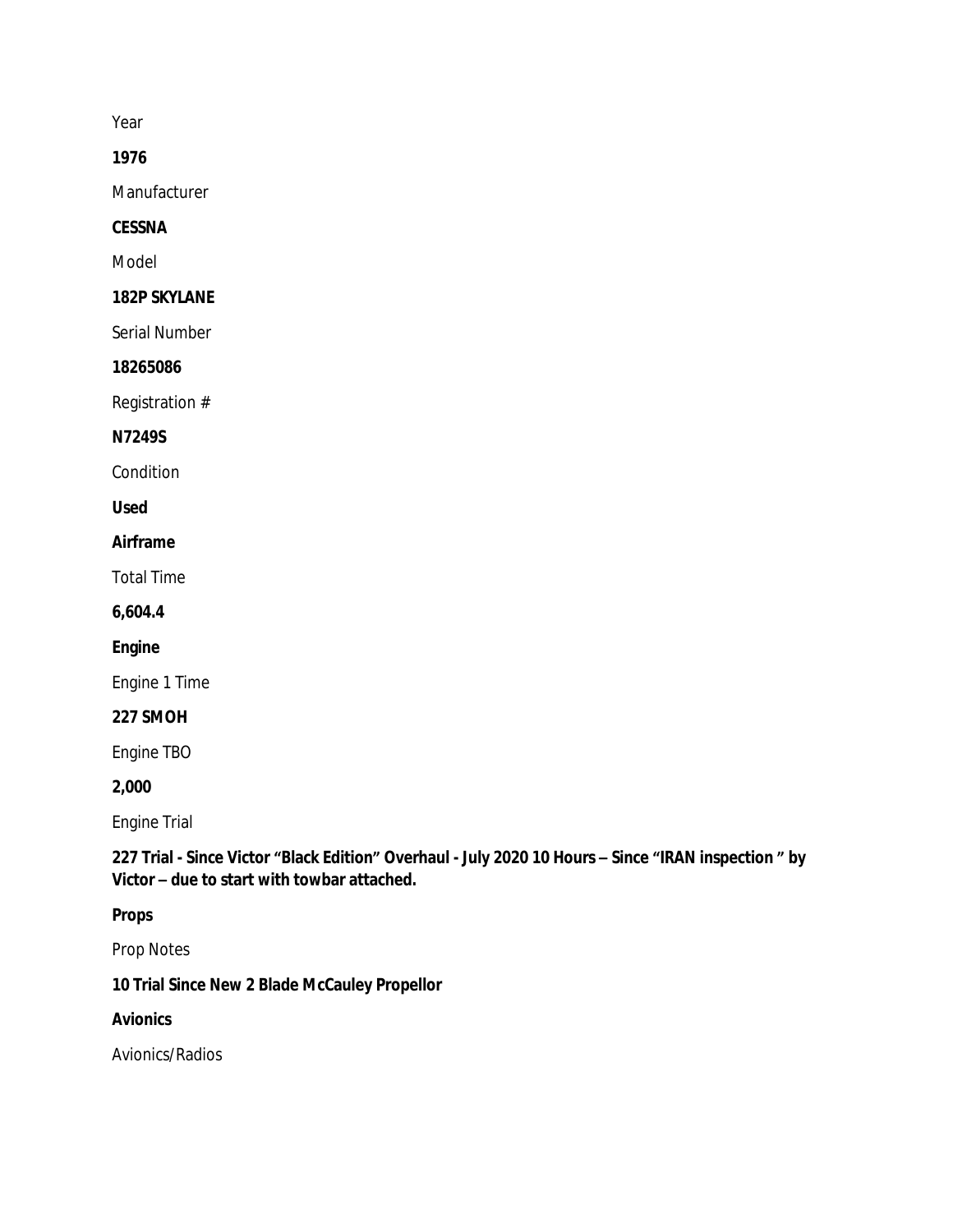Year

**1976**

Manufacturer

**CESSNA**

Model

**182P SKYLANE**

Serial Number

**18265086**

Registration #

**N7249S**

Condition

**Used**

**Airframe**

Total Time

**6,604.4**

**Engine**

Engine 1 Time

**227 SMOH**

Engine TBO

**2,000**

Engine Trial

**227 Trial - Since Victor "Black Edition" Overhaul - July 2020 10 Hours – Since "IRAN inspection " by Victor – due to start with towbar attached.**

**Props**

Prop Notes

**10 Trial Since New 2 Blade McCauley Propellor**

**Avionics**

Avionics/Radios